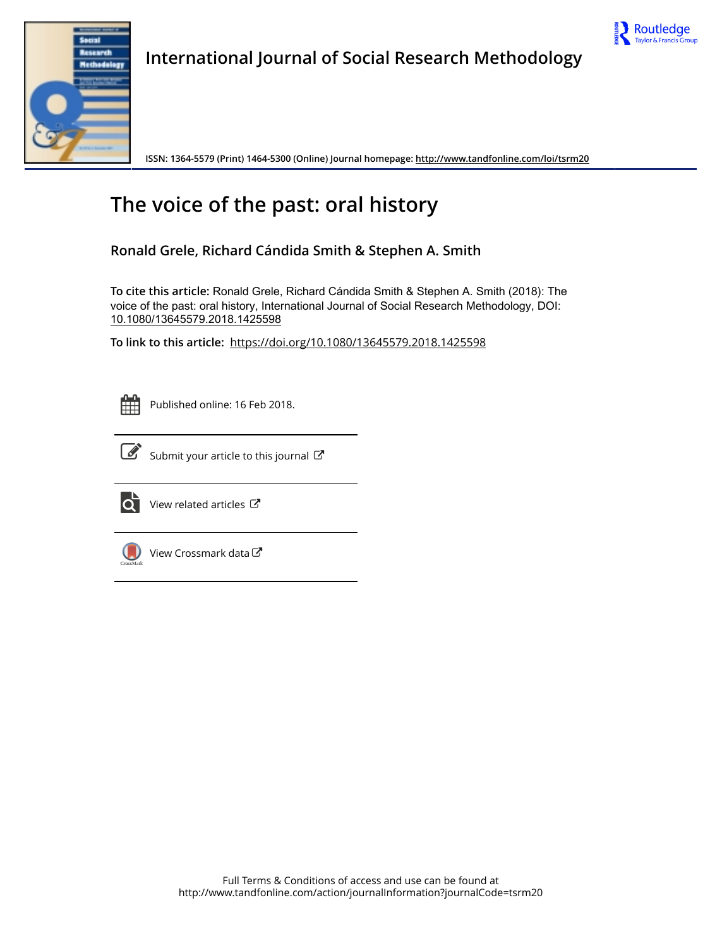

## **International Journal of Social Research Methodology**



**ISSN: 1364-5579 (Print) 1464-5300 (Online) Journal homepage:<http://www.tandfonline.com/loi/tsrm20>**

# **The voice of the past: oral history**

**Ronald Grele, Richard Cándida Smith & Stephen A. Smith**

**To cite this article:** Ronald Grele, Richard Cándida Smith & Stephen A. Smith (2018): The voice of the past: oral history, International Journal of Social Research Methodology, DOI: [10.1080/13645579.2018.1425598](http://www.tandfonline.com/action/showCitFormats?doi=10.1080/13645579.2018.1425598)

**To link to this article:** <https://doi.org/10.1080/13645579.2018.1425598>



Published online: 16 Feb 2018.



 $\overrightarrow{S}$  [Submit your article to this journal](http://www.tandfonline.com/action/authorSubmission?journalCode=tsrm20&show=instructions)  $\overrightarrow{S}$ 



 $\overrightarrow{Q}$  [View related articles](http://www.tandfonline.com/doi/mlt/10.1080/13645579.2018.1425598)  $\overrightarrow{C}$ 



[View Crossmark data](http://crossmark.crossref.org/dialog/?doi=10.1080/13645579.2018.1425598&domain=pdf&date_stamp=2018-02-16) $\mathbb{C}$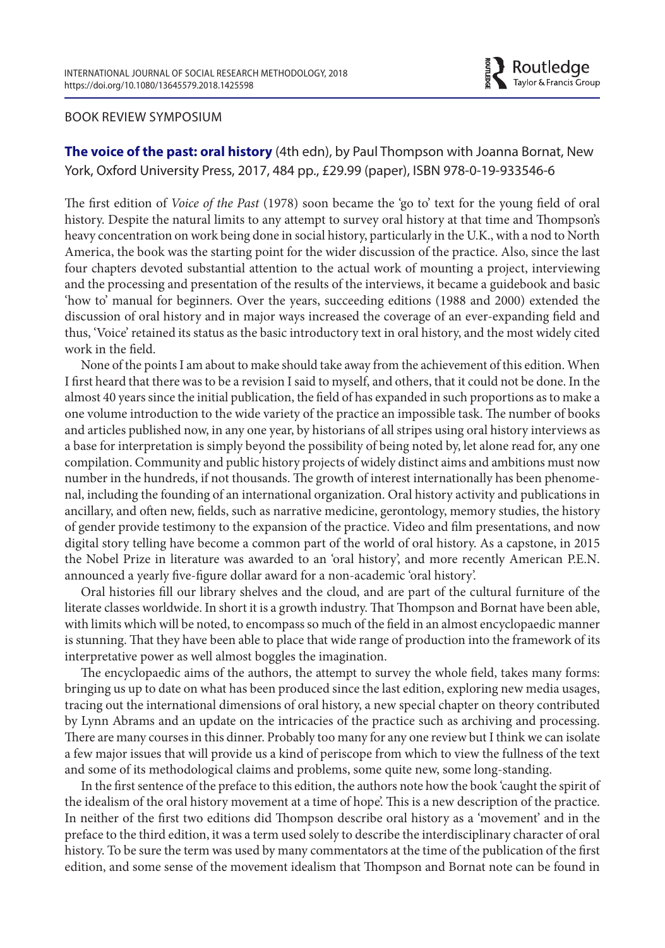

#### BOOK REVIEW SYMPOSIUM

### **The voice of the past: oral history** (4th edn), by Paul Thompson with Joanna Bornat, New York, Oxford University Press, 2017, 484 pp., £29.99 (paper), ISBN 978-0-19-933546-6

The first edition of *Voice of the Past* (1978) soon became the 'go to' text for the young field of oral history. Despite the natural limits to any attempt to survey oral history at that time and Thompson's heavy concentration on work being done in social history, particularly in the U.K., with a nod to North America, the book was the starting point for the wider discussion of the practice. Also, since the last four chapters devoted substantial attention to the actual work of mounting a project, interviewing and the processing and presentation of the results of the interviews, it became a guidebook and basic 'how to' manual for beginners. Over the years, succeeding editions (1988 and 2000) extended the discussion of oral history and in major ways increased the coverage of an ever-expanding field and thus, 'Voice' retained its status as the basic introductory text in oral history, and the most widely cited work in the field.

None of the points I am about to make should take away from the achievement of this edition. When I first heard that there was to be a revision I said to myself, and others, that it could not be done. In the almost 40 years since the initial publication, the field of has expanded in such proportions as to make a one volume introduction to the wide variety of the practice an impossible task. The number of books and articles published now, in any one year, by historians of all stripes using oral history interviews as a base for interpretation is simply beyond the possibility of being noted by, let alone read for, any one compilation. Community and public history projects of widely distinct aims and ambitions must now number in the hundreds, if not thousands. The growth of interest internationally has been phenomenal, including the founding of an international organization. Oral history activity and publications in ancillary, and often new, fields, such as narrative medicine, gerontology, memory studies, the history of gender provide testimony to the expansion of the practice. Video and film presentations, and now digital story telling have become a common part of the world of oral history. As a capstone, in 2015 the Nobel Prize in literature was awarded to an 'oral history', and more recently American P.E.N. announced a yearly five-figure dollar award for a non-academic 'oral history'.

Oral histories fill our library shelves and the cloud, and are part of the cultural furniture of the literate classes worldwide. In short it is a growth industry. That Thompson and Bornat have been able, with limits which will be noted, to encompass so much of the field in an almost encyclopaedic manner is stunning. That they have been able to place that wide range of production into the framework of its interpretative power as well almost boggles the imagination.

The encyclopaedic aims of the authors, the attempt to survey the whole field, takes many forms: bringing us up to date on what has been produced since the last edition, exploring new media usages, tracing out the international dimensions of oral history, a new special chapter on theory contributed by Lynn Abrams and an update on the intricacies of the practice such as archiving and processing. There are many courses in this dinner. Probably too many for any one review but I think we can isolate a few major issues that will provide us a kind of periscope from which to view the fullness of the text and some of its methodological claims and problems, some quite new, some long-standing.

In the first sentence of the preface to this edition, the authors note how the book 'caught the spirit of the idealism of the oral history movement at a time of hope'. This is a new description of the practice. In neither of the first two editions did Thompson describe oral history as a 'movement' and in the preface to the third edition, it was a term used solely to describe the interdisciplinary character of oral history. To be sure the term was used by many commentators at the time of the publication of the first edition, and some sense of the movement idealism that Thompson and Bornat note can be found in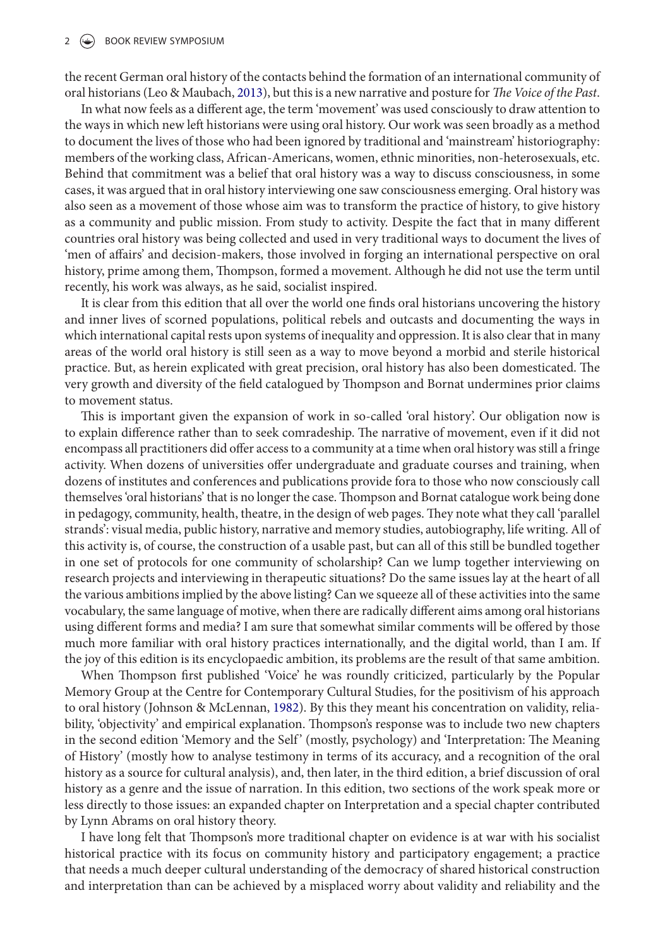<span id="page-2-1"></span>the recent German oral history of the contacts behind the formation of an international community of oral historians (Leo & Maubach, [2013](#page-3-0)), but this is a new narrative and posture for *The Voice of the Past*.

In what now feels as a different age, the term 'movement' was used consciously to draw attention to the ways in which new left historians were using oral history. Our work was seen broadly as a method to document the lives of those who had been ignored by traditional and 'mainstream' historiography: members of the working class, African-Americans, women, ethnic minorities, non-heterosexuals, etc. Behind that commitment was a belief that oral history was a way to discuss consciousness, in some cases, it was argued that in oral history interviewing one saw consciousness emerging. Oral history was also seen as a movement of those whose aim was to transform the practice of history, to give history as a community and public mission. From study to activity. Despite the fact that in many different countries oral history was being collected and used in very traditional ways to document the lives of 'men of affairs' and decision-makers, those involved in forging an international perspective on oral history, prime among them, Thompson, formed a movement. Although he did not use the term until recently, his work was always, as he said, socialist inspired.

It is clear from this edition that all over the world one finds oral historians uncovering the history and inner lives of scorned populations, political rebels and outcasts and documenting the ways in which international capital rests upon systems of inequality and oppression. It is also clear that in many areas of the world oral history is still seen as a way to move beyond a morbid and sterile historical practice. But, as herein explicated with great precision, oral history has also been domesticated. The very growth and diversity of the field catalogued by Thompson and Bornat undermines prior claims to movement status.

This is important given the expansion of work in so-called 'oral history'. Our obligation now is to explain difference rather than to seek comradeship. The narrative of movement, even if it did not encompass all practitioners did offer access to a community at a time when oral history was still a fringe activity. When dozens of universities offer undergraduate and graduate courses and training, when dozens of institutes and conferences and publications provide fora to those who now consciously call themselves 'oral historians' that is no longer the case. Thompson and Bornat catalogue work being done in pedagogy, community, health, theatre, in the design of web pages. They note what they call 'parallel strands': visual media, public history, narrative and memory studies, autobiography, life writing. All of this activity is, of course, the construction of a usable past, but can all of this still be bundled together in one set of protocols for one community of scholarship? Can we lump together interviewing on research projects and interviewing in therapeutic situations? Do the same issues lay at the heart of all the various ambitions implied by the above listing? Can we squeeze all of these activities into the same vocabulary, the same language of motive, when there are radically different aims among oral historians using different forms and media? I am sure that somewhat similar comments will be offered by those much more familiar with oral history practices internationally, and the digital world, than I am. If the joy of this edition is its encyclopaedic ambition, its problems are the result of that same ambition.

<span id="page-2-0"></span>When Thompson first published 'Voice' he was roundly criticized, particularly by the Popular Memory Group at the Centre for Contemporary Cultural Studies, for the positivism of his approach to oral history (Johnson & McLennan, [1982\)](#page-3-1). By this they meant his concentration on validity, reliability, 'objectivity' and empirical explanation. Thompson's response was to include two new chapters in the second edition 'Memory and the Self' (mostly, psychology) and 'Interpretation: The Meaning of History' (mostly how to analyse testimony in terms of its accuracy, and a recognition of the oral history as a source for cultural analysis), and, then later, in the third edition, a brief discussion of oral history as a genre and the issue of narration. In this edition, two sections of the work speak more or less directly to those issues: an expanded chapter on Interpretation and a special chapter contributed by Lynn Abrams on oral history theory.

I have long felt that Thompson's more traditional chapter on evidence is at war with his socialist historical practice with its focus on community history and participatory engagement; a practice that needs a much deeper cultural understanding of the democracy of shared historical construction and interpretation than can be achieved by a misplaced worry about validity and reliability and the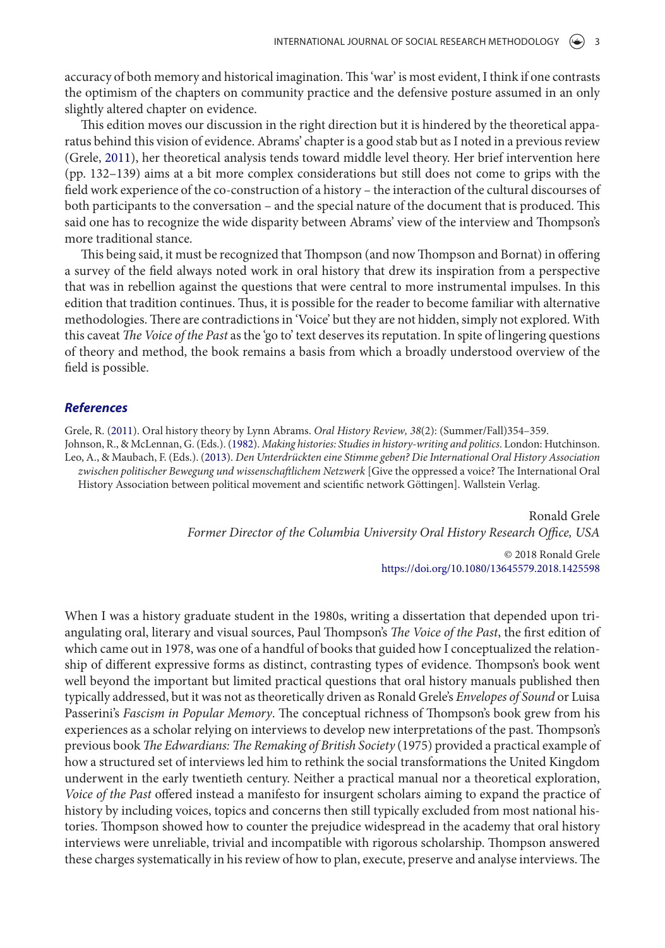accuracy of both memory and historical imagination. This 'war' is most evident, I think if one contrasts the optimism of the chapters on community practice and the defensive posture assumed in an only slightly altered chapter on evidence.

<span id="page-3-3"></span>This edition moves our discussion in the right direction but it is hindered by the theoretical apparatus behind this vision of evidence. Abrams' chapter is a good stab but as I noted in a previous review (Grele, [2011](#page-3-2)), her theoretical analysis tends toward middle level theory. Her brief intervention here (pp. 132–139) aims at a bit more complex considerations but still does not come to grips with the field work experience of the co-construction of a history – the interaction of the cultural discourses of both participants to the conversation – and the special nature of the document that is produced. This said one has to recognize the wide disparity between Abrams' view of the interview and Thompson's more traditional stance.

This being said, it must be recognized that Thompson (and now Thompson and Bornat) in offering a survey of the field always noted work in oral history that drew its inspiration from a perspective that was in rebellion against the questions that were central to more instrumental impulses. In this edition that tradition continues. Thus, it is possible for the reader to become familiar with alternative methodologies. There are contradictions in 'Voice' but they are not hidden, simply not explored. With this caveat *The Voice of the Past* as the 'go to' text deserves its reputation. In spite of lingering questions of theory and method, the book remains a basis from which a broadly understood overview of the field is possible.

#### *References*

<span id="page-3-2"></span><span id="page-3-1"></span><span id="page-3-0"></span>Grele, R. [\(2011\)](#page-3-3). Oral history theory by Lynn Abrams. *Oral History Review, 38*(2): (Summer/Fall)354–359. Johnson, R., & McLennan, G. (Eds.). [\(1982\)](#page-2-0). *Making histories: Studies in history-writing and politics*. London: Hutchinson. Leo, A., & Maubach, F. (Eds.). ([2013](#page-2-1)). *Den Unterdrückten eine Stimme geben? Die International Oral History Association zwischen politischer Bewegung und wissenschaftlichem Netzwerk* [Give the oppressed a voice? The International Oral History Association between political movement and scientific network Göttingen]. Wallstein Verlag.

> Ronald Grele *Former Director of the Columbia University Oral History Research Office, USA*

> > © 2018 Ronald Grele <https://doi.org/10.1080/13645579.2018.1425598>

When I was a history graduate student in the 1980s, writing a dissertation that depended upon triangulating oral, literary and visual sources, Paul Thompson's *The Voice of the Past*, the first edition of which came out in 1978, was one of a handful of books that guided how I conceptualized the relationship of different expressive forms as distinct, contrasting types of evidence. Thompson's book went well beyond the important but limited practical questions that oral history manuals published then typically addressed, but it was not as theoretically driven as Ronald Grele's *Envelopes of Sound* or Luisa Passerini's *Fascism in Popular Memory*. The conceptual richness of Thompson's book grew from his experiences as a scholar relying on interviews to develop new interpretations of the past. Thompson's previous book *The Edwardians: The Remaking of British Society* (1975) provided a practical example of how a structured set of interviews led him to rethink the social transformations the United Kingdom underwent in the early twentieth century. Neither a practical manual nor a theoretical exploration, *Voice of the Past* offered instead a manifesto for insurgent scholars aiming to expand the practice of history by including voices, topics and concerns then still typically excluded from most national histories. Thompson showed how to counter the prejudice widespread in the academy that oral history interviews were unreliable, trivial and incompatible with rigorous scholarship. Thompson answered these charges systematically in his review of how to plan, execute, preserve and analyse interviews. The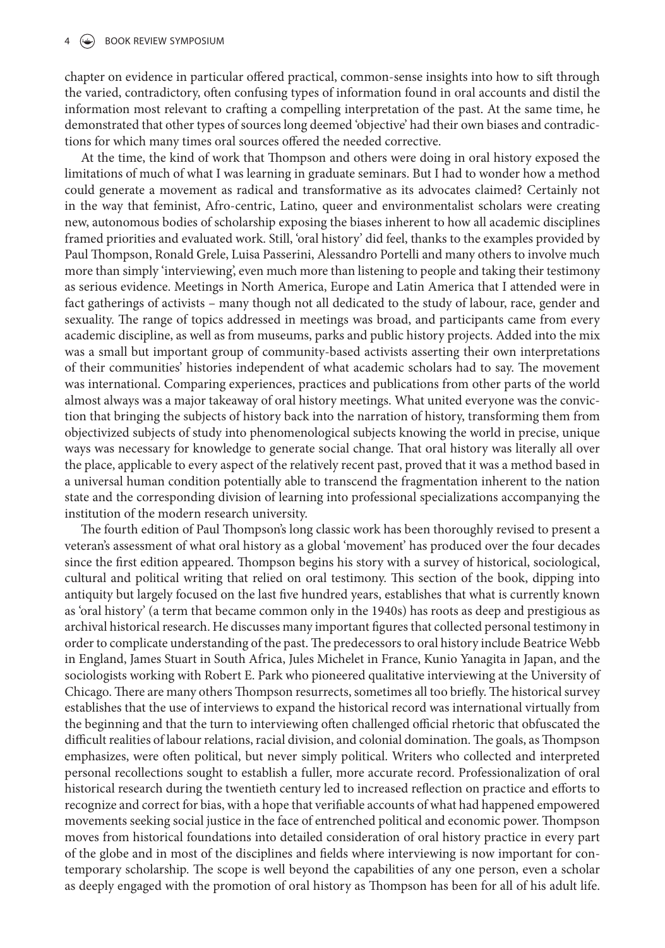#### $\circledast$  BOOK REVIEW SYMPOSIUM

chapter on evidence in particular offered practical, common-sense insights into how to sift through the varied, contradictory, often confusing types of information found in oral accounts and distil the information most relevant to crafting a compelling interpretation of the past. At the same time, he demonstrated that other types of sources long deemed 'objective' had their own biases and contradictions for which many times oral sources offered the needed corrective.

At the time, the kind of work that Thompson and others were doing in oral history exposed the limitations of much of what I was learning in graduate seminars. But I had to wonder how a method could generate a movement as radical and transformative as its advocates claimed? Certainly not in the way that feminist, Afro-centric, Latino, queer and environmentalist scholars were creating new, autonomous bodies of scholarship exposing the biases inherent to how all academic disciplines framed priorities and evaluated work. Still, 'oral history' did feel, thanks to the examples provided by Paul Thompson, Ronald Grele, Luisa Passerini, Alessandro Portelli and many others to involve much more than simply 'interviewing', even much more than listening to people and taking their testimony as serious evidence. Meetings in North America, Europe and Latin America that I attended were in fact gatherings of activists – many though not all dedicated to the study of labour, race, gender and sexuality. The range of topics addressed in meetings was broad, and participants came from every academic discipline, as well as from museums, parks and public history projects. Added into the mix was a small but important group of community-based activists asserting their own interpretations of their communities' histories independent of what academic scholars had to say. The movement was international. Comparing experiences, practices and publications from other parts of the world almost always was a major takeaway of oral history meetings. What united everyone was the conviction that bringing the subjects of history back into the narration of history, transforming them from objectivized subjects of study into phenomenological subjects knowing the world in precise, unique ways was necessary for knowledge to generate social change. That oral history was literally all over the place, applicable to every aspect of the relatively recent past, proved that it was a method based in a universal human condition potentially able to transcend the fragmentation inherent to the nation state and the corresponding division of learning into professional specializations accompanying the institution of the modern research university.

The fourth edition of Paul Thompson's long classic work has been thoroughly revised to present a veteran's assessment of what oral history as a global 'movement' has produced over the four decades since the first edition appeared. Thompson begins his story with a survey of historical, sociological, cultural and political writing that relied on oral testimony. This section of the book, dipping into antiquity but largely focused on the last five hundred years, establishes that what is currently known as 'oral history' (a term that became common only in the 1940s) has roots as deep and prestigious as archival historical research. He discusses many important figures that collected personal testimony in order to complicate understanding of the past. The predecessors to oral history include Beatrice Webb in England, James Stuart in South Africa, Jules Michelet in France, Kunio Yanagita in Japan, and the sociologists working with Robert E. Park who pioneered qualitative interviewing at the University of Chicago. There are many others Thompson resurrects, sometimes all too briefly. The historical survey establishes that the use of interviews to expand the historical record was international virtually from the beginning and that the turn to interviewing often challenged official rhetoric that obfuscated the difficult realities of labour relations, racial division, and colonial domination. The goals, as Thompson emphasizes, were often political, but never simply political. Writers who collected and interpreted personal recollections sought to establish a fuller, more accurate record. Professionalization of oral historical research during the twentieth century led to increased reflection on practice and efforts to recognize and correct for bias, with a hope that verifiable accounts of what had happened empowered movements seeking social justice in the face of entrenched political and economic power. Thompson moves from historical foundations into detailed consideration of oral history practice in every part of the globe and in most of the disciplines and fields where interviewing is now important for contemporary scholarship. The scope is well beyond the capabilities of any one person, even a scholar as deeply engaged with the promotion of oral history as Thompson has been for all of his adult life.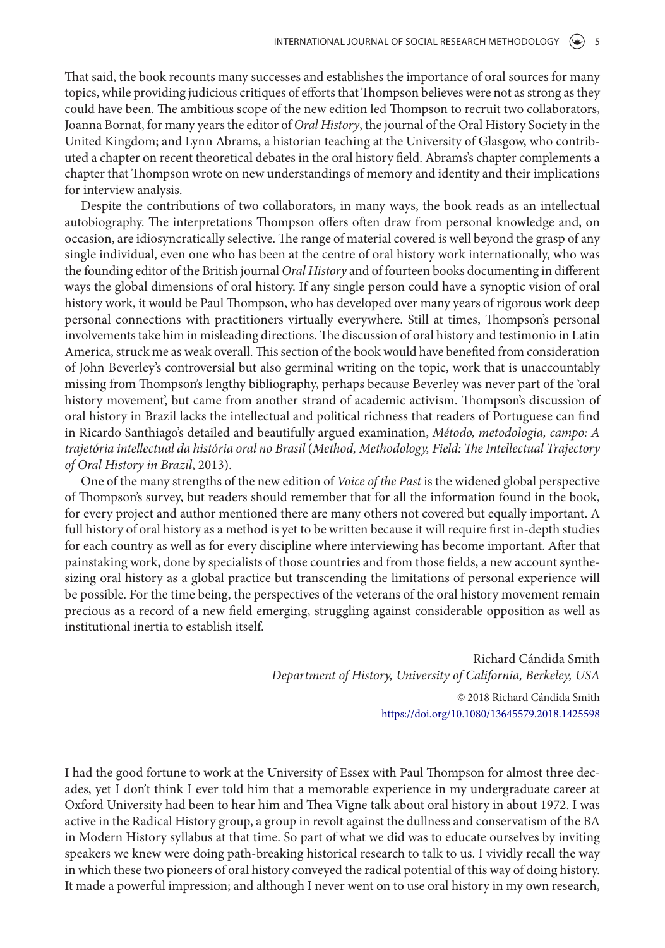That said, the book recounts many successes and establishes the importance of oral sources for many topics, while providing judicious critiques of efforts that Thompson believes were not as strong as they could have been. The ambitious scope of the new edition led Thompson to recruit two collaborators, Joanna Bornat, for many years the editor of *Oral History*, the journal of the Oral History Society in the United Kingdom; and Lynn Abrams, a historian teaching at the University of Glasgow, who contributed a chapter on recent theoretical debates in the oral history field. Abrams's chapter complements a chapter that Thompson wrote on new understandings of memory and identity and their implications for interview analysis.

Despite the contributions of two collaborators, in many ways, the book reads as an intellectual autobiography. The interpretations Thompson offers often draw from personal knowledge and, on occasion, are idiosyncratically selective. The range of material covered is well beyond the grasp of any single individual, even one who has been at the centre of oral history work internationally, who was the founding editor of the British journal *Oral History* and of fourteen books documenting in different ways the global dimensions of oral history. If any single person could have a synoptic vision of oral history work, it would be Paul Thompson, who has developed over many years of rigorous work deep personal connections with practitioners virtually everywhere. Still at times, Thompson's personal involvements take him in misleading directions. The discussion of oral history and testimonio in Latin America, struck me as weak overall. This section of the book would have benefited from consideration of John Beverley's controversial but also germinal writing on the topic, work that is unaccountably missing from Thompson's lengthy bibliography, perhaps because Beverley was never part of the 'oral history movement', but came from another strand of academic activism. Thompson's discussion of oral history in Brazil lacks the intellectual and political richness that readers of Portuguese can find in Ricardo Santhiago's detailed and beautifully argued examination, *Método, metodologia, campo: A trajetória intellectual da história oral no Brasil* (*Method, Methodology, Field: The Intellectual Trajectory of Oral History in Brazil*, 2013).

One of the many strengths of the new edition of *Voice of the Past* is the widened global perspective of Thompson's survey, but readers should remember that for all the information found in the book, for every project and author mentioned there are many others not covered but equally important. A full history of oral history as a method is yet to be written because it will require first in-depth studies for each country as well as for every discipline where interviewing has become important. After that painstaking work, done by specialists of those countries and from those fields, a new account synthesizing oral history as a global practice but transcending the limitations of personal experience will be possible. For the time being, the perspectives of the veterans of the oral history movement remain precious as a record of a new field emerging, struggling against considerable opposition as well as institutional inertia to establish itself.

> Richard Cándida Smith *Department of History, University of California, Berkeley, USA*

> > *©* 2018 Richard Cándida Smith <https://doi.org/10.1080/13645579.2018.1425598>

I had the good fortune to work at the University of Essex with Paul Thompson for almost three decades, yet I don't think I ever told him that a memorable experience in my undergraduate career at Oxford University had been to hear him and Thea Vigne talk about oral history in about 1972. I was active in the Radical History group, a group in revolt against the dullness and conservatism of the BA in Modern History syllabus at that time. So part of what we did was to educate ourselves by inviting speakers we knew were doing path-breaking historical research to talk to us. I vividly recall the way in which these two pioneers of oral history conveyed the radical potential of this way of doing history. It made a powerful impression; and although I never went on to use oral history in my own research,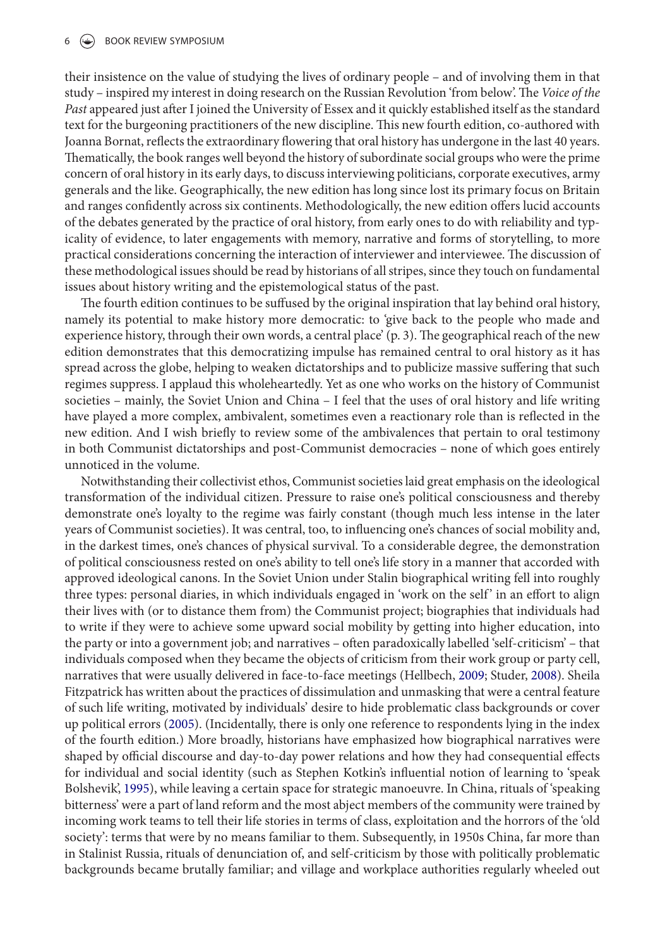#### 6 BOOK REVIEW SYMPOSIUM

their insistence on the value of studying the lives of ordinary people – and of involving them in that study – inspired my interest in doing research on the Russian Revolution 'from below'. The *Voice of the Past* appeared just after I joined the University of Essex and it quickly established itself as the standard text for the burgeoning practitioners of the new discipline. This new fourth edition, co-authored with Joanna Bornat, reflects the extraordinary flowering that oral history has undergone in the last 40 years. Thematically, the book ranges well beyond the history of subordinate social groups who were the prime concern of oral history in its early days, to discuss interviewing politicians, corporate executives, army generals and the like. Geographically, the new edition has long since lost its primary focus on Britain and ranges confidently across six continents. Methodologically, the new edition offers lucid accounts of the debates generated by the practice of oral history, from early ones to do with reliability and typicality of evidence, to later engagements with memory, narrative and forms of storytelling, to more practical considerations concerning the interaction of interviewer and interviewee. The discussion of these methodological issues should be read by historians of all stripes, since they touch on fundamental issues about history writing and the epistemological status of the past.

The fourth edition continues to be suffused by the original inspiration that lay behind oral history, namely its potential to make history more democratic: to 'give back to the people who made and experience history, through their own words, a central place' (p. 3). The geographical reach of the new edition demonstrates that this democratizing impulse has remained central to oral history as it has spread across the globe, helping to weaken dictatorships and to publicize massive suffering that such regimes suppress. I applaud this wholeheartedly. Yet as one who works on the history of Communist societies – mainly, the Soviet Union and China – I feel that the uses of oral history and life writing have played a more complex, ambivalent, sometimes even a reactionary role than is reflected in the new edition. And I wish briefly to review some of the ambivalences that pertain to oral testimony in both Communist dictatorships and post-Communist democracies – none of which goes entirely unnoticed in the volume.

<span id="page-6-3"></span><span id="page-6-2"></span><span id="page-6-1"></span><span id="page-6-0"></span>Notwithstanding their collectivist ethos, Communist societies laid great emphasis on the ideological transformation of the individual citizen. Pressure to raise one's political consciousness and thereby demonstrate one's loyalty to the regime was fairly constant (though much less intense in the later years of Communist societies). It was central, too, to influencing one's chances of social mobility and, in the darkest times, one's chances of physical survival. To a considerable degree, the demonstration of political consciousness rested on one's ability to tell one's life story in a manner that accorded with approved ideological canons. In the Soviet Union under Stalin biographical writing fell into roughly three types: personal diaries, in which individuals engaged in 'work on the self' in an effort to align their lives with (or to distance them from) the Communist project; biographies that individuals had to write if they were to achieve some upward social mobility by getting into higher education, into the party or into a government job; and narratives – often paradoxically labelled 'self-criticism' – that individuals composed when they became the objects of criticism from their work group or party cell, narratives that were usually delivered in face-to-face meetings (Hellbech, [2009](#page-8-0); Studer, [2008](#page-9-0)). Sheila Fitzpatrick has written about the practices of dissimulation and unmasking that were a central feature of such life writing, motivated by individuals' desire to hide problematic class backgrounds or cover up political errors [\(2005](#page-8-1)). (Incidentally, there is only one reference to respondents lying in the index of the fourth edition.) More broadly, historians have emphasized how biographical narratives were shaped by official discourse and day-to-day power relations and how they had consequential effects for individual and social identity (such as Stephen Kotkin's influential notion of learning to 'speak Bolshevik', [1995\)](#page-9-1), while leaving a certain space for strategic manoeuvre. In China, rituals of 'speaking bitterness' were a part of land reform and the most abject members of the community were trained by incoming work teams to tell their life stories in terms of class, exploitation and the horrors of the 'old society': terms that were by no means familiar to them. Subsequently, in 1950s China, far more than in Stalinist Russia, rituals of denunciation of, and self-criticism by those with politically problematic backgrounds became brutally familiar; and village and workplace authorities regularly wheeled out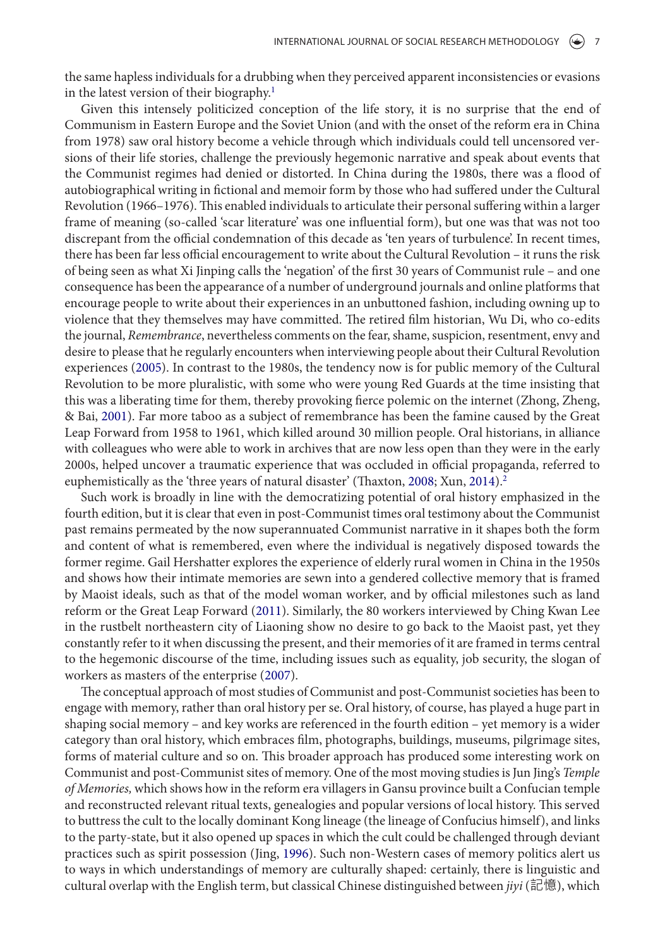the same hapless individuals for a drubbing when they perceived apparent inconsistencies or evasions in the latest version of their biography.<sup>1</sup>

Given this intensely politicized conception of the life story, it is no surprise that the end of Communism in Eastern Europe and the Soviet Union (and with the onset of the reform era in China from 1978) saw oral history become a vehicle through which individuals could tell uncensored versions of their life stories, challenge the previously hegemonic narrative and speak about events that the Communist regimes had denied or distorted. In China during the 1980s, there was a flood of autobiographical writing in fictional and memoir form by those who had suffered under the Cultural Revolution (1966–1976). This enabled individuals to articulate their personal suffering within a larger frame of meaning (so-called 'scar literature' was one influential form), but one was that was not too discrepant from the official condemnation of this decade as 'ten years of turbulence'. In recent times, there has been far less official encouragement to write about the Cultural Revolution – it runs the risk of being seen as what Xi Jinping calls the 'negation' of the first 30 years of Communist rule – and one consequence has been the appearance of a number of underground journals and online platforms that encourage people to write about their experiences in an unbuttoned fashion, including owning up to violence that they themselves may have committed. The retired film historian, Wu Di, who co-edits the journal, *Remembrance*, nevertheless comments on the fear, shame, suspicion, resentment, envy and desire to please that he regularly encounters when interviewing people about their Cultural Revolution experiences ([2005\)](#page-3-0). In contrast to the 1980s, the tendency now is for public memory of the Cultural Revolution to be more pluralistic, with some who were young Red Guards at the time insisting that this was a liberating time for them, thereby provoking fierce polemic on the internet (Zhong, Zheng, & Bai, [2001](#page-9-2)). Far more taboo as a subject of remembrance has been the famine caused by the Great Leap Forward from 1958 to 1961, which killed around 30 million people. Oral historians, in alliance with colleagues who were able to work in archives that are now less open than they were in the early 2000s, helped uncover a traumatic experience that was occluded in official propaganda, referred to euphemistically as the 'three years of natural disaster' (Thaxton, [2008](#page-9-3); Xun, [2014](#page-9-4)).<sup>2</sup>

<span id="page-7-5"></span><span id="page-7-4"></span><span id="page-7-3"></span>Such work is broadly in line with the democratizing potential of oral history emphasized in the fourth edition, but it is clear that even in post-Communist times oral testimony about the Communist past remains permeated by the now superannuated Communist narrative in it shapes both the form and content of what is remembered, even where the individual is negatively disposed towards the former regime. Gail Hershatter explores the experience of elderly rural women in China in the 1950s and shows how their intimate memories are sewn into a gendered collective memory that is framed by Maoist ideals, such as that of the model woman worker, and by official milestones such as land reform or the Great Leap Forward ([2011](#page-8-4)). Similarly, the 80 workers interviewed by Ching Kwan Lee in the rustbelt northeastern city of Liaoning show no desire to go back to the Maoist past, yet they constantly refer to it when discussing the present, and their memories of it are framed in terms central to the hegemonic discourse of the time, including issues such as equality, job security, the slogan of workers as masters of the enterprise [\(2007\)](#page-9-5).

<span id="page-7-2"></span><span id="page-7-1"></span><span id="page-7-0"></span>The conceptual approach of most studies of Communist and post-Communist societies has been to engage with memory, rather than oral history per se. Oral history, of course, has played a huge part in shaping social memory – and key works are referenced in the fourth edition – yet memory is a wider category than oral history, which embraces film, photographs, buildings, museums, pilgrimage sites, forms of material culture and so on. This broader approach has produced some interesting work on Communist and post-Communist sites of memory. One of the most moving studies is Jun Jing's *Temple of Memories,* which shows how in the reform era villagers in Gansu province built a Confucian temple and reconstructed relevant ritual texts, genealogies and popular versions of local history. This served to buttress the cult to the locally dominant Kong lineage (the lineage of Confucius himself), and links to the party-state, but it also opened up spaces in which the cult could be challenged through deviant practices such as spirit possession (Jing, [1996](#page-9-6)). Such non-Western cases of memory politics alert us to ways in which understandings of memory are culturally shaped: certainly, there is linguistic and cultural overlap with the English term, but classical Chinese distinguished between *jiyi* (記憶), which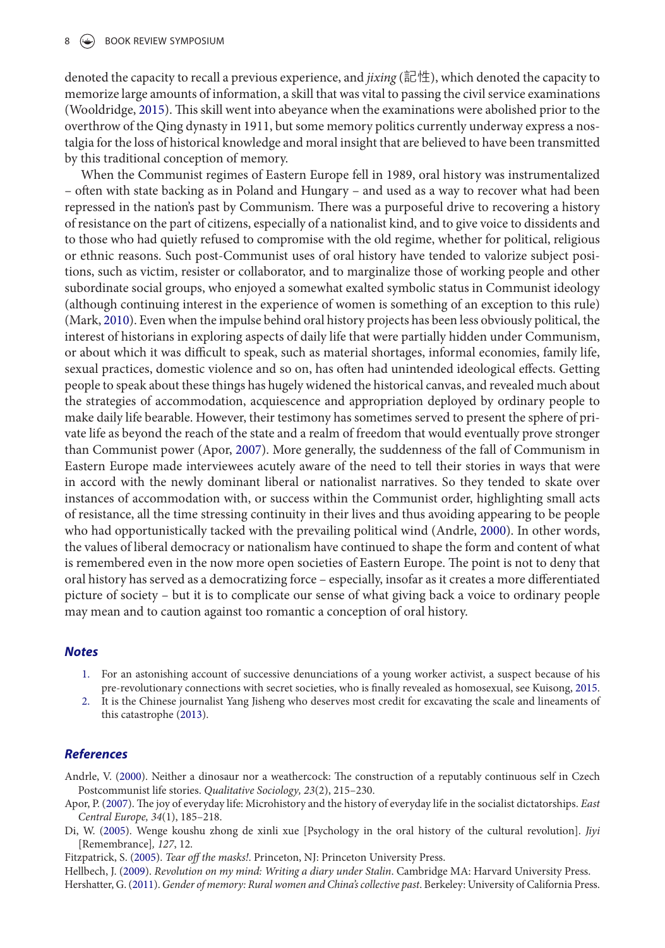<span id="page-8-8"></span>denoted the capacity to recall a previous experience, and *jixing* (記性), which denoted the capacity to memorize large amounts of information, a skill that was vital to passing the civil service examinations (Wooldridge, [2015](#page-9-7)). This skill went into abeyance when the examinations were abolished prior to the overthrow of the Qing dynasty in 1911, but some memory politics currently underway express a nostalgia for the loss of historical knowledge and moral insight that are believed to have been transmitted by this traditional conception of memory.

<span id="page-8-7"></span>When the Communist regimes of Eastern Europe fell in 1989, oral history was instrumentalized – often with state backing as in Poland and Hungary – and used as a way to recover what had been repressed in the nation's past by Communism. There was a purposeful drive to recovering a history of resistance on the part of citizens, especially of a nationalist kind, and to give voice to dissidents and to those who had quietly refused to compromise with the old regime, whether for political, religious or ethnic reasons. Such post-Communist uses of oral history have tended to valorize subject positions, such as victim, resister or collaborator, and to marginalize those of working people and other subordinate social groups, who enjoyed a somewhat exalted symbolic status in Communist ideology (although continuing interest in the experience of women is something of an exception to this rule) (Mark, [2010\)](#page-9-8). Even when the impulse behind oral history projects has been less obviously political, the interest of historians in exploring aspects of daily life that were partially hidden under Communism, or about which it was difficult to speak, such as material shortages, informal economies, family life, sexual practices, domestic violence and so on, has often had unintended ideological effects. Getting people to speak about these things has hugely widened the historical canvas, and revealed much about the strategies of accommodation, acquiescence and appropriation deployed by ordinary people to make daily life bearable. However, their testimony has sometimes served to present the sphere of private life as beyond the reach of the state and a realm of freedom that would eventually prove stronger than Communist power (Apor, [2007](#page-3-1)). More generally, the suddenness of the fall of Communism in Eastern Europe made interviewees acutely aware of the need to tell their stories in ways that were in accord with the newly dominant liberal or nationalist narratives. So they tended to skate over instances of accommodation with, or success within the Communist order, highlighting small acts of resistance, all the time stressing continuity in their lives and thus avoiding appearing to be people who had opportunistically tacked with the prevailing political wind (Andrle, [2000\)](#page-3-2). In other words, the values of liberal democracy or nationalism have continued to shape the form and content of what is remembered even in the now more open societies of Eastern Europe. The point is not to deny that oral history has served as a democratizing force – especially, insofar as it creates a more differentiated picture of society – but it is to complicate our sense of what giving back a voice to ordinary people may mean and to caution against too romantic a conception of oral history.

#### *Notes*

- <span id="page-8-6"></span><span id="page-8-2"></span>1. For an astonishing account of successive denunciations of a young worker activist, a suspect because of his pre-revolutionary connections with secret societies, who is finally revealed as homosexual, see Kuisong, [2015](#page-9-9).
- <span id="page-8-5"></span><span id="page-8-3"></span>2. It is the Chinese journalist Yang Jisheng who deserves most credit for excavating the scale and lineaments of this catastrophe ([2013](#page-9-10)).

#### *References*

Andrle, V. ([2000\)](#page-3-3). Neither a dinosaur nor a weathercock: The construction of a reputably continuous self in Czech Postcommunist life stories. *Qualitative Sociology, 23*(2), 215–230.

Apor, P. ([2007\)](#page-2-0). The joy of everyday life: Microhistory and the history of everyday life in the socialist dictatorships. *East Central Europe, 34*(1), 185–218.

Di, W. ([2005](#page-2-1)). Wenge koushu zhong de xinli xue [Psychology in the oral history of the cultural revolution]. *Jiyi* [Remembrance]*, 127*, 12.

<span id="page-8-1"></span>Fitzpatrick, S. [\(2005\)](#page-6-0). *Tear off the masks!*. Princeton, NJ: Princeton University Press.

<span id="page-8-0"></span>Hellbech, J. [\(2009\)](#page-6-1). *Revolution on my mind: Writing a diary under Stalin*. Cambridge MA: Harvard University Press.

<span id="page-8-4"></span>Hershatter, G. [\(2011](#page-7-0)). *Gender of memory: Rural women and China's collective past*. Berkeley: University of California Press.